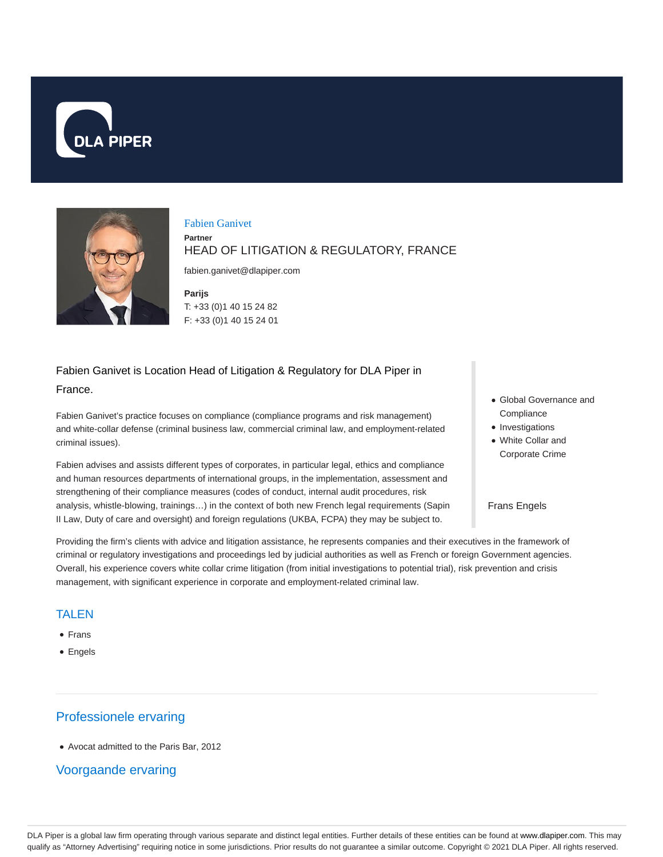



#### Fabien Ganivet

**Partner**

# HEAD OF LITIGATION & REGULATORY, FRANCE

fabien.ganivet@dlapiper.com

**Parijs** T: +33 (0)1 40 15 24 82 F: +33 (0)1 40 15 24 01

### Fabien Ganivet is Location Head of Litigation & Regulatory for DLA Piper in France.

Fabien Ganivet's practice focuses on compliance (compliance programs and risk management) and white-collar defense (criminal business law, commercial criminal law, and employment-related criminal issues).

Fabien advises and assists different types of corporates, in particular legal, ethics and compliance and human resources departments of international groups, in the implementation, assessment and strengthening of their compliance measures (codes of conduct, internal audit procedures, risk analysis, whistle-blowing, trainings…) in the context of both new French legal requirements (Sapin II Law, Duty of care and oversight) and foreign regulations (UKBA, FCPA) they may be subject to.

- Global Governance and **Compliance**
- Investigations
- White Collar and Corporate Crime

#### Frans Engels

Providing the firm's clients with advice and litigation assistance, he represents companies and their executives in the framework of criminal or regulatory investigations and proceedings led by judicial authorities as well as French or foreign Government agencies. Overall, his experience covers white collar crime litigation (from initial investigations to potential trial), risk prevention and crisis management, with significant experience in corporate and employment-related criminal law.

#### TALEN

- Frans
- Engels

# Professionele ervaring

Avocat admitted to the Paris Bar, 2012

# Voorgaande ervaring

DLA Piper is a global law firm operating through various separate and distinct legal entities. Further details of these entities can be found at www.dlapiper.com. This may qualify as "Attorney Advertising" requiring notice in some jurisdictions. Prior results do not guarantee a similar outcome. Copyright @ 2021 DLA Piper. All rights reserved.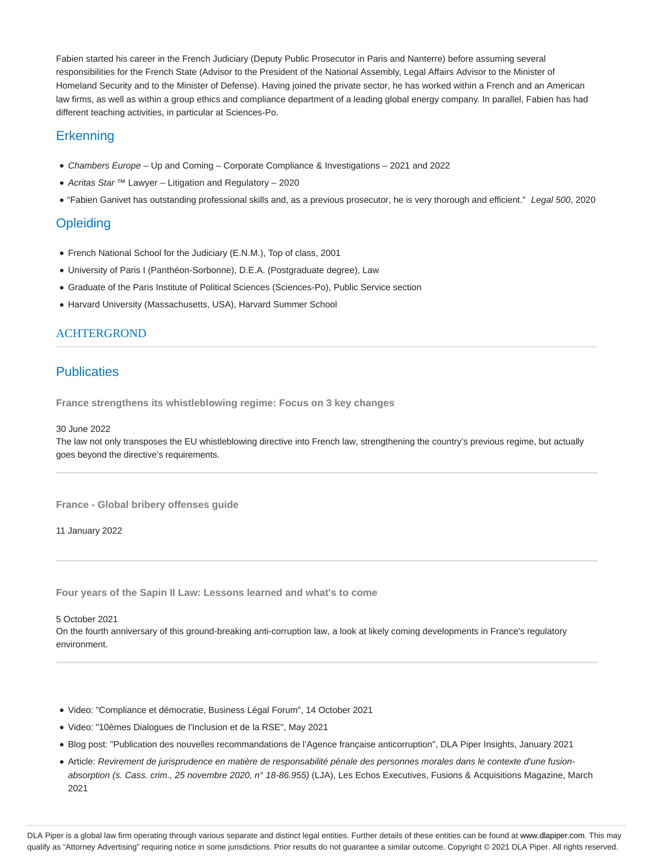Fabien started his career in the French Judiciary (Deputy Public Prosecutor in Paris and Nanterre) before assuming several responsibilities for the French State (Advisor to the President of the National Assembly, Legal Affairs Advisor to the Minister of Homeland Security and to the Minister of Defense). Having joined the private sector, he has worked within a French and an American law firms, as well as within a group ethics and compliance department of a leading global energy company. In parallel, Fabien has had different teaching activities, in particular at Sciences-Po.

# **Erkenning**

- Chambers Europe Up and Coming Corporate Compliance & Investigations 2021 and 2022
- Acritas Star ™ Lawyer Litigation and Regulatory 2020
- . "Fabien Ganivet has outstanding professional skills and, as a previous prosecutor, he is very thorough and efficient." Legal 500, 2020

## **Opleiding**

- French National School for the Judiciary (E.N.M.), Top of class, 2001
- University of Paris I (Panthéon-Sorbonne), D.E.A. (Postgraduate degree), Law
- Graduate of the Paris Institute of Political Sciences (Sciences-Po), Public Service section
- Harvard University (Massachusetts, USA), Harvard Summer School

#### ACHTERGROND

### **Publicaties**

**France strengthens its whistleblowing regime: Focus on 3 key changes**

30 June 2022

The law not only transposes the EU whistleblowing directive into French law, strengthening the country's previous regime, but actually goes beyond the directive's requirements.

**France - Global bribery offenses guide**

11 January 2022

**Four years of the Sapin II Law: Lessons learned and what's to come**

5 October 2021

On the fourth anniversary of this ground-breaking anti-corruption law, a look at likely coming developments in France's regulatory environment.

- Video: "Compliance et démocratie, Business Légal Forum", 14 October 2021
- Video: "10èmes Dialogues de l'Inclusion et de la RSE", May 2021
- Blog post: "Publication des nouvelles recommandations de l'Agence française anticorruption", DLA Piper Insights, January 2021
- Article: Revirement de jurisprudence en matière de responsabilité pénale des personnes morales dans le contexte d'une fusionabsorption (s. Cass. crim., 25 novembre 2020, n° 18-86.955) (LJA), Les Echos Executives, Fusions & Acquisitions Magazine, March 2021

DLA Piper is a global law firm operating through various separate and distinct legal entities. Further details of these entities can be found at www.dlapiper.com. This may qualify as "Attorney Advertising" requiring notice in some jurisdictions. Prior results do not guarantee a similar outcome. Copyright © 2021 DLA Piper. All rights reserved.